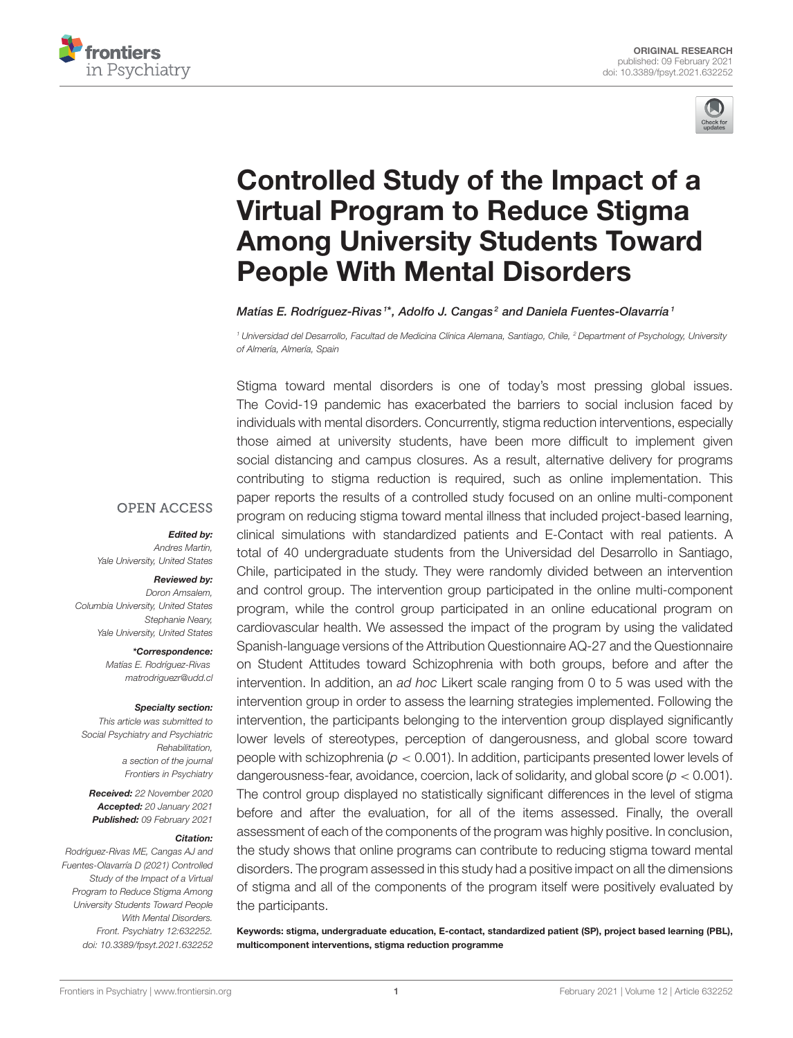



# Controlled Study of the Impact of a Virtual Program to Reduce Stigma [Among University Students Toward](https://www.frontiersin.org/articles/10.3389/fpsyt.2021.632252/full) People With Mental Disorders

Matías E. Rodríguez-Rivas 1\*, Adolfo J. Cangas<sup>2</sup> and Daniela Fuentes-Olavarría 1

<sup>1</sup> Universidad del Desarrollo, Facultad de Medicina Clínica Alemana, Santiago, Chile, <sup>2</sup> Department of Psychology, University of Almería, Almería, Spain

Stigma toward mental disorders is one of today's most pressing global issues. The Covid-19 pandemic has exacerbated the barriers to social inclusion faced by individuals with mental disorders. Concurrently, stigma reduction interventions, especially those aimed at university students, have been more difficult to implement given social distancing and campus closures. As a result, alternative delivery for programs contributing to stigma reduction is required, such as online implementation. This paper reports the results of a controlled study focused on an online multi-component program on reducing stigma toward mental illness that included project-based learning, clinical simulations with standardized patients and E-Contact with real patients. A total of 40 undergraduate students from the Universidad del Desarrollo in Santiago, Chile, participated in the study. They were randomly divided between an intervention and control group. The intervention group participated in the online multi-component program, while the control group participated in an online educational program on cardiovascular health. We assessed the impact of the program by using the validated Spanish-language versions of the Attribution Questionnaire AQ-27 and the Questionnaire on Student Attitudes toward Schizophrenia with both groups, before and after the intervention. In addition, an ad hoc Likert scale ranging from 0 to 5 was used with the intervention group in order to assess the learning strategies implemented. Following the intervention, the participants belonging to the intervention group displayed significantly lower levels of stereotypes, perception of dangerousness, and global score toward people with schizophrenia ( $p < 0.001$ ). In addition, participants presented lower levels of dangerousness-fear, avoidance, coercion, lack of solidarity, and global score ( $p < 0.001$ ). The control group displayed no statistically significant differences in the level of stigma before and after the evaluation, for all of the items assessed. Finally, the overall assessment of each of the components of the program was highly positive. In conclusion, the study shows that online programs can contribute to reducing stigma toward mental disorders. The program assessed in this study had a positive impact on all the dimensions of stigma and all of the components of the program itself were positively evaluated by the participants.

Keywords: stigma, undergraduate education, E-contact, standardized patient (SP), project based learning (PBL), multicomponent interventions, stigma reduction programme

#### **OPEN ACCESS**

#### Edited by:

Andres Martin, Yale University, United States

#### Reviewed by:

Doron Amsalem, Columbia University, United States Stephanie Neary, Yale University, United States

> \*Correspondence: Matías E. Rodríguez-Rivas [matrodriguezr@udd.cl](mailto:matrodriguezr@udd.cl)

#### Specialty section:

This article was submitted to Social Psychiatry and Psychiatric Rehabilitation, a section of the journal Frontiers in Psychiatry

Received: 22 November 2020 Accepted: 20 January 2021 Published: 09 February 2021

#### Citation:

Rodríguez-Rivas ME, Cangas AJ and Fuentes-Olavarría D (2021) Controlled Study of the Impact of a Virtual Program to Reduce Stigma Among University Students Toward People With Mental Disorders. Front. Psychiatry 12:632252. doi: [10.3389/fpsyt.2021.632252](https://doi.org/10.3389/fpsyt.2021.632252)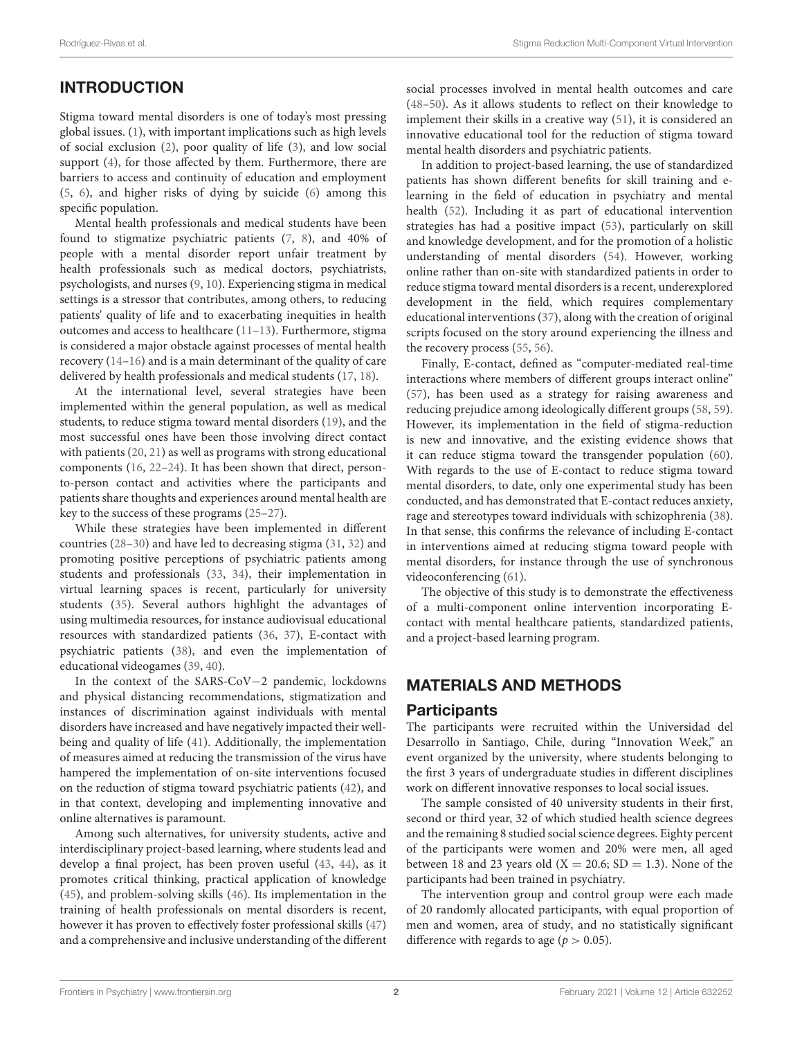# INTRODUCTION

Stigma toward mental disorders is one of today's most pressing global issues. [\(1\)](#page-6-0), with important implications such as high levels of social exclusion [\(2\)](#page-6-1), poor quality of life [\(3\)](#page-6-2), and low social support [\(4\)](#page-6-3), for those affected by them. Furthermore, there are barriers to access and continuity of education and employment [\(5,](#page-6-4) [6\)](#page-6-5), and higher risks of dying by suicide [\(6\)](#page-6-5) among this specific population.

Mental health professionals and medical students have been found to stigmatize psychiatric patients [\(7,](#page-6-6) [8\)](#page-6-7), and 40% of people with a mental disorder report unfair treatment by health professionals such as medical doctors, psychiatrists, psychologists, and nurses [\(9,](#page-6-8) [10\)](#page-6-9). Experiencing stigma in medical settings is a stressor that contributes, among others, to reducing patients' quality of life and to exacerbating inequities in health outcomes and access to healthcare [\(11–](#page-6-10)[13\)](#page-6-11). Furthermore, stigma is considered a major obstacle against processes of mental health recovery [\(14–](#page-6-12)[16\)](#page-6-13) and is a main determinant of the quality of care delivered by health professionals and medical students [\(17,](#page-6-14) [18\)](#page-6-15).

At the international level, several strategies have been implemented within the general population, as well as medical students, to reduce stigma toward mental disorders [\(19\)](#page-6-16), and the most successful ones have been those involving direct contact with patients [\(20,](#page-6-17) [21\)](#page-6-18) as well as programs with strong educational components [\(16,](#page-6-13) [22](#page-6-19)[–24\)](#page-6-20). It has been shown that direct, personto-person contact and activities where the participants and patients share thoughts and experiences around mental health are key to the success of these programs [\(25](#page-6-21)[–27\)](#page-7-0).

While these strategies have been implemented in different countries [\(28–](#page-7-1)[30\)](#page-7-2) and have led to decreasing stigma [\(31,](#page-7-3) [32\)](#page-7-4) and promoting positive perceptions of psychiatric patients among students and professionals [\(33,](#page-7-5) [34\)](#page-7-6), their implementation in virtual learning spaces is recent, particularly for university students [\(35\)](#page-7-7). Several authors highlight the advantages of using multimedia resources, for instance audiovisual educational resources with standardized patients [\(36,](#page-7-8) [37\)](#page-7-9), E-contact with psychiatric patients [\(38\)](#page-7-10), and even the implementation of educational videogames [\(39,](#page-7-11) [40\)](#page-7-12).

In the context of the SARS-CoV−2 pandemic, lockdowns and physical distancing recommendations, stigmatization and instances of discrimination against individuals with mental disorders have increased and have negatively impacted their wellbeing and quality of life [\(41\)](#page-7-13). Additionally, the implementation of measures aimed at reducing the transmission of the virus have hampered the implementation of on-site interventions focused on the reduction of stigma toward psychiatric patients [\(42\)](#page-7-14), and in that context, developing and implementing innovative and online alternatives is paramount.

Among such alternatives, for university students, active and interdisciplinary project-based learning, where students lead and develop a final project, has been proven useful [\(43,](#page-7-15) [44\)](#page-7-16), as it promotes critical thinking, practical application of knowledge [\(45\)](#page-7-17), and problem-solving skills [\(46\)](#page-7-18). Its implementation in the training of health professionals on mental disorders is recent, however it has proven to effectively foster professional skills [\(47\)](#page-7-19) and a comprehensive and inclusive understanding of the different social processes involved in mental health outcomes and care [\(48](#page-7-20)[–50\)](#page-7-21). As it allows students to reflect on their knowledge to implement their skills in a creative way [\(51\)](#page-7-22), it is considered an innovative educational tool for the reduction of stigma toward mental health disorders and psychiatric patients.

In addition to project-based learning, the use of standardized patients has shown different benefits for skill training and elearning in the field of education in psychiatry and mental health [\(52\)](#page-7-23). Including it as part of educational intervention strategies has had a positive impact [\(53\)](#page-7-24), particularly on skill and knowledge development, and for the promotion of a holistic understanding of mental disorders [\(54\)](#page-7-25). However, working online rather than on-site with standardized patients in order to reduce stigma toward mental disorders is a recent, underexplored development in the field, which requires complementary educational interventions [\(37\)](#page-7-9), along with the creation of original scripts focused on the story around experiencing the illness and the recovery process [\(55,](#page-7-26) [56\)](#page-7-27).

Finally, E-contact, defined as "computer-mediated real-time interactions where members of different groups interact online" [\(57\)](#page-7-28), has been used as a strategy for raising awareness and reducing prejudice among ideologically different groups [\(58,](#page-7-29) [59\)](#page-7-30). However, its implementation in the field of stigma-reduction is new and innovative, and the existing evidence shows that it can reduce stigma toward the transgender population [\(60\)](#page-7-31). With regards to the use of E-contact to reduce stigma toward mental disorders, to date, only one experimental study has been conducted, and has demonstrated that E-contact reduces anxiety, rage and stereotypes toward individuals with schizophrenia [\(38\)](#page-7-10). In that sense, this confirms the relevance of including E-contact in interventions aimed at reducing stigma toward people with mental disorders, for instance through the use of synchronous videoconferencing [\(61\)](#page-7-32).

The objective of this study is to demonstrate the effectiveness of a multi-component online intervention incorporating Econtact with mental healthcare patients, standardized patients, and a project-based learning program.

## MATERIALS AND METHODS

### **Participants**

The participants were recruited within the Universidad del Desarrollo in Santiago, Chile, during "Innovation Week," an event organized by the university, where students belonging to the first 3 years of undergraduate studies in different disciplines work on different innovative responses to local social issues.

The sample consisted of 40 university students in their first, second or third year, 32 of which studied health science degrees and the remaining 8 studied social science degrees. Eighty percent of the participants were women and 20% were men, all aged between 18 and 23 years old  $(X = 20.6; SD = 1.3)$ . None of the participants had been trained in psychiatry.

The intervention group and control group were each made of 20 randomly allocated participants, with equal proportion of men and women, area of study, and no statistically significant difference with regards to age ( $p > 0.05$ ).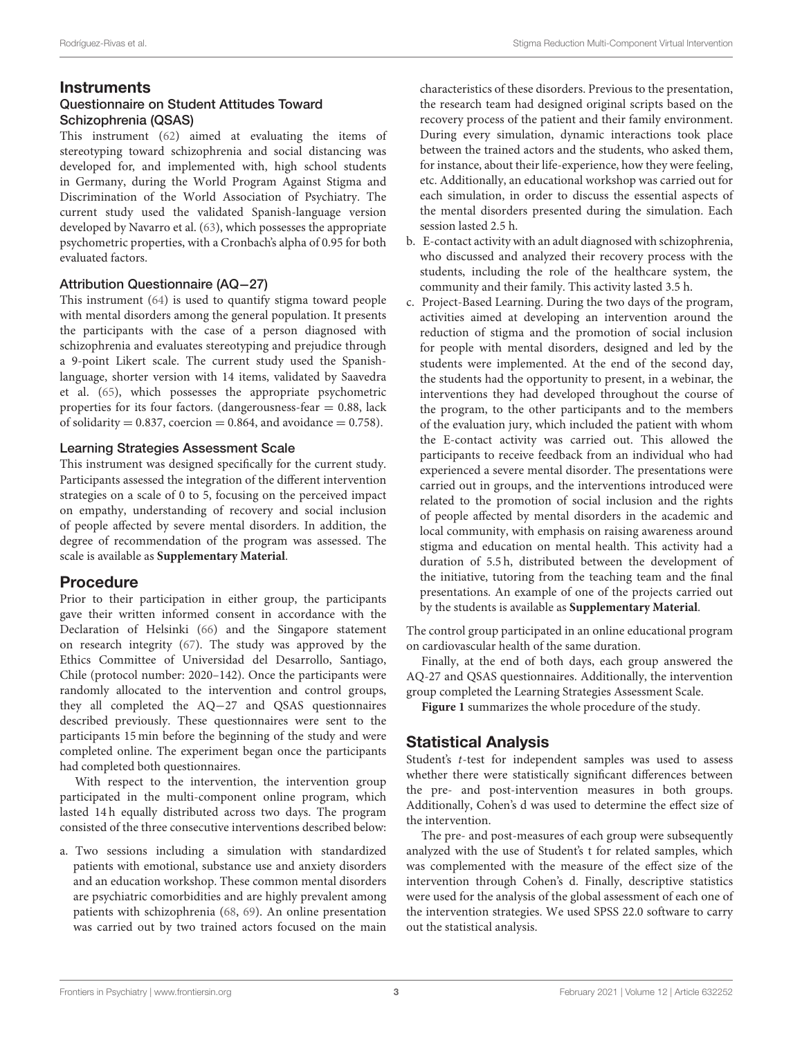## **Instruments**

#### Questionnaire on Student Attitudes Toward Schizophrenia (QSAS)

This instrument [\(62\)](#page-7-33) aimed at evaluating the items of stereotyping toward schizophrenia and social distancing was developed for, and implemented with, high school students in Germany, during the World Program Against Stigma and Discrimination of the World Association of Psychiatry. The current study used the validated Spanish-language version developed by Navarro et al. [\(63\)](#page-7-34), which possesses the appropriate psychometric properties, with a Cronbach's alpha of 0.95 for both evaluated factors.

#### Attribution Questionnaire (AQ−27)

This instrument [\(64\)](#page-7-35) is used to quantify stigma toward people with mental disorders among the general population. It presents the participants with the case of a person diagnosed with schizophrenia and evaluates stereotyping and prejudice through a 9-point Likert scale. The current study used the Spanishlanguage, shorter version with 14 items, validated by Saavedra et al. [\(65\)](#page-7-36), which possesses the appropriate psychometric properties for its four factors. (dangerousness-fear  $= 0.88$ , lack of solidarity =  $0.837$ , coercion =  $0.864$ , and avoidance =  $0.758$ ).

#### Learning Strategies Assessment Scale

This instrument was designed specifically for the current study. Participants assessed the integration of the different intervention strategies on a scale of 0 to 5, focusing on the perceived impact on empathy, understanding of recovery and social inclusion of people affected by severe mental disorders. In addition, the degree of recommendation of the program was assessed. The scale is available as **[Supplementary Material](#page-6-22)**.

## Procedure

Prior to their participation in either group, the participants gave their written informed consent in accordance with the Declaration of Helsinki [\(66\)](#page-8-0) and the Singapore statement on research integrity [\(67\)](#page-8-1). The study was approved by the Ethics Committee of Universidad del Desarrollo, Santiago, Chile (protocol number: 2020–142). Once the participants were randomly allocated to the intervention and control groups, they all completed the AQ−27 and QSAS questionnaires described previously. These questionnaires were sent to the participants 15 min before the beginning of the study and were completed online. The experiment began once the participants had completed both questionnaires.

With respect to the intervention, the intervention group participated in the multi-component online program, which lasted 14 h equally distributed across two days. The program consisted of the three consecutive interventions described below:

a. Two sessions including a simulation with standardized patients with emotional, substance use and anxiety disorders and an education workshop. These common mental disorders are psychiatric comorbidities and are highly prevalent among patients with schizophrenia [\(68,](#page-8-2) [69\)](#page-8-3). An online presentation was carried out by two trained actors focused on the main characteristics of these disorders. Previous to the presentation, the research team had designed original scripts based on the recovery process of the patient and their family environment. During every simulation, dynamic interactions took place between the trained actors and the students, who asked them, for instance, about their life-experience, how they were feeling, etc. Additionally, an educational workshop was carried out for each simulation, in order to discuss the essential aspects of the mental disorders presented during the simulation. Each session lasted 2.5 h.

- b. E-contact activity with an adult diagnosed with schizophrenia, who discussed and analyzed their recovery process with the students, including the role of the healthcare system, the community and their family. This activity lasted 3.5 h.
- c. Project-Based Learning. During the two days of the program, activities aimed at developing an intervention around the reduction of stigma and the promotion of social inclusion for people with mental disorders, designed and led by the students were implemented. At the end of the second day, the students had the opportunity to present, in a webinar, the interventions they had developed throughout the course of the program, to the other participants and to the members of the evaluation jury, which included the patient with whom the E-contact activity was carried out. This allowed the participants to receive feedback from an individual who had experienced a severe mental disorder. The presentations were carried out in groups, and the interventions introduced were related to the promotion of social inclusion and the rights of people affected by mental disorders in the academic and local community, with emphasis on raising awareness around stigma and education on mental health. This activity had a duration of 5.5 h, distributed between the development of the initiative, tutoring from the teaching team and the final presentations. An example of one of the projects carried out by the students is available as **[Supplementary Material](#page-6-22)**.

The control group participated in an online educational program on cardiovascular health of the same duration.

Finally, at the end of both days, each group answered the AQ-27 and QSAS questionnaires. Additionally, the intervention group completed the Learning Strategies Assessment Scale.

**[Figure 1](#page-3-0)** summarizes the whole procedure of the study.

## Statistical Analysis

Student's t-test for independent samples was used to assess whether there were statistically significant differences between the pre- and post-intervention measures in both groups. Additionally, Cohen's d was used to determine the effect size of the intervention.

The pre- and post-measures of each group were subsequently analyzed with the use of Student's t for related samples, which was complemented with the measure of the effect size of the intervention through Cohen's d. Finally, descriptive statistics were used for the analysis of the global assessment of each one of the intervention strategies. We used SPSS 22.0 software to carry out the statistical analysis.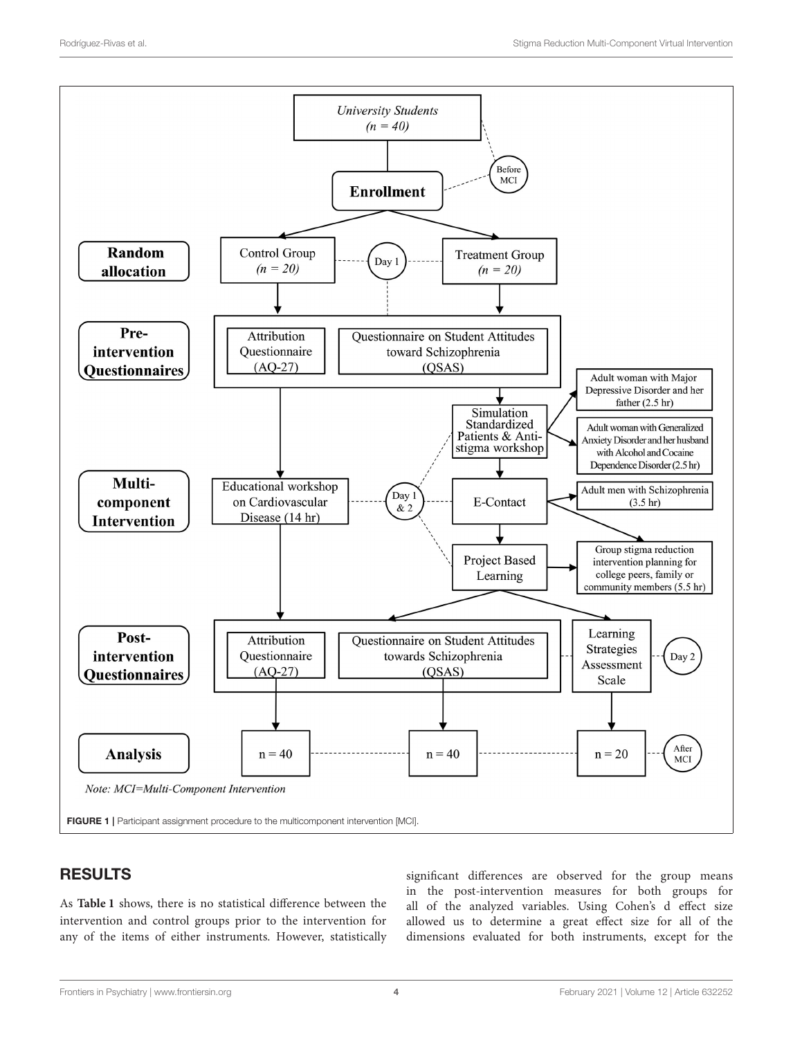

## <span id="page-3-0"></span>RESULTS

As **[Table 1](#page-4-0)** shows, there is no statistical difference between the intervention and control groups prior to the intervention for any of the items of either instruments. However, statistically significant differences are observed for the group means in the post-intervention measures for both groups for all of the analyzed variables. Using Cohen's d effect size allowed us to determine a great effect size for all of the dimensions evaluated for both instruments, except for the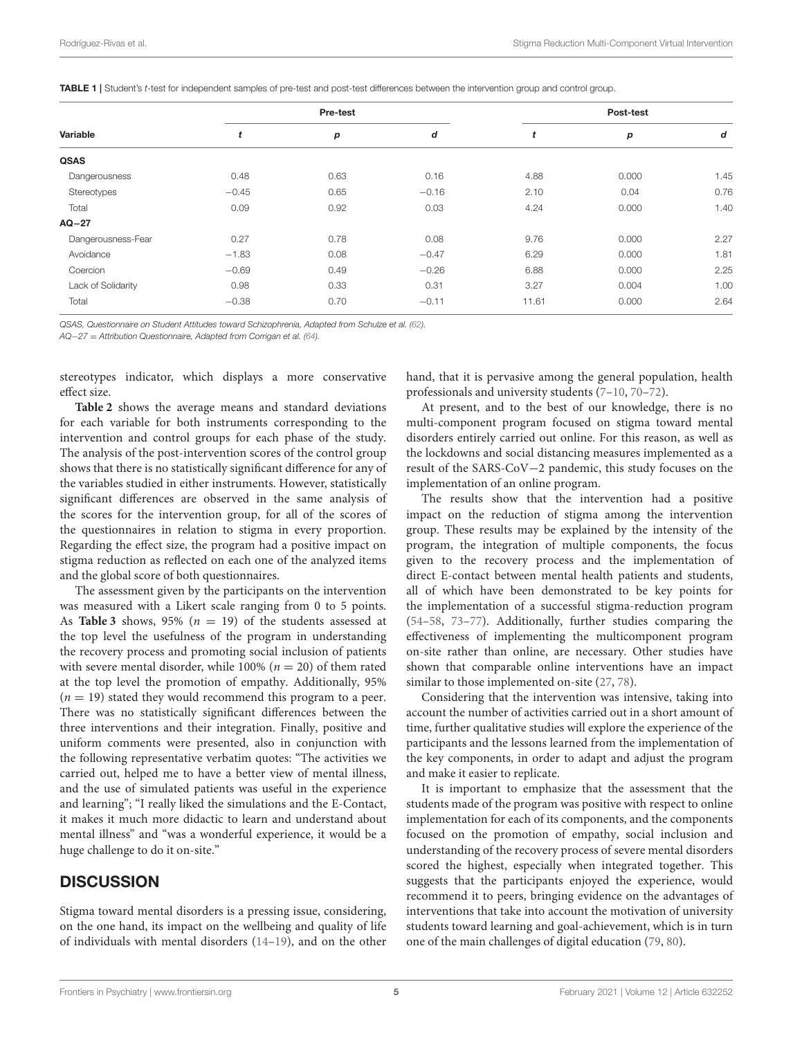| Variable           |         | Pre-test |         | Post-test |       |      |  |  |
|--------------------|---------|----------|---------|-----------|-------|------|--|--|
|                    | t       | p        | d       | t         | p     | d    |  |  |
| <b>QSAS</b>        |         |          |         |           |       |      |  |  |
| Dangerousness      | 0.48    | 0.63     | 0.16    | 4.88      | 0.000 | 1.45 |  |  |
| Stereotypes        | $-0.45$ | 0.65     | $-0.16$ | 2.10      | 0.04  | 0.76 |  |  |
| Total              | 0.09    | 0.92     | 0.03    | 4.24      | 0.000 | 1.40 |  |  |
| $AQ-27$            |         |          |         |           |       |      |  |  |
| Dangerousness-Fear | 0.27    | 0.78     | 0.08    | 9.76      | 0.000 | 2.27 |  |  |
| Avoidance          | $-1.83$ | 0.08     | $-0.47$ | 6.29      | 0.000 | 1.81 |  |  |
| Coercion           | $-0.69$ | 0.49     | $-0.26$ | 6.88      | 0.000 | 2.25 |  |  |
| Lack of Solidarity | 0.98    | 0.33     | 0.31    | 3.27      | 0.004 | 1.00 |  |  |
| Total              | $-0.38$ | 0.70     | $-0.11$ | 11.61     | 0.000 | 2.64 |  |  |

<span id="page-4-0"></span>TABLE 1 | Student's t-test for independent samples of pre-test and post-test differences between the intervention group and control group.

QSAS, Questionnaire on Student Attitudes toward Schizophrenia, Adapted from Schulze et al. [\(62\)](#page-7-33).

AQ−27 = Attribution Questionnaire, Adapted from Corrigan et al. [\(64\)](#page-7-35).

stereotypes indicator, which displays a more conservative effect size.

**[Table 2](#page-5-0)** shows the average means and standard deviations for each variable for both instruments corresponding to the intervention and control groups for each phase of the study. The analysis of the post-intervention scores of the control group shows that there is no statistically significant difference for any of the variables studied in either instruments. However, statistically significant differences are observed in the same analysis of the scores for the intervention group, for all of the scores of the questionnaires in relation to stigma in every proportion. Regarding the effect size, the program had a positive impact on stigma reduction as reflected on each one of the analyzed items and the global score of both questionnaires.

The assessment given by the participants on the intervention was measured with a Likert scale ranging from 0 to 5 points. As **[Table 3](#page-5-1)** shows, 95% ( $n = 19$ ) of the students assessed at the top level the usefulness of the program in understanding the recovery process and promoting social inclusion of patients with severe mental disorder, while 100% ( $n = 20$ ) of them rated at the top level the promotion of empathy. Additionally, 95%  $(n = 19)$  stated they would recommend this program to a peer. There was no statistically significant differences between the three interventions and their integration. Finally, positive and uniform comments were presented, also in conjunction with the following representative verbatim quotes: "The activities we carried out, helped me to have a better view of mental illness, and the use of simulated patients was useful in the experience and learning"; "I really liked the simulations and the E-Contact, it makes it much more didactic to learn and understand about mental illness" and "was a wonderful experience, it would be a huge challenge to do it on-site."

## **DISCUSSION**

Stigma toward mental disorders is a pressing issue, considering, on the one hand, its impact on the wellbeing and quality of life of individuals with mental disorders [\(14](#page-6-12)[–19\)](#page-6-16), and on the other hand, that it is pervasive among the general population, health professionals and university students [\(7](#page-6-6)[–10,](#page-6-9) [70–](#page-8-4)[72\)](#page-8-5).

At present, and to the best of our knowledge, there is no multi-component program focused on stigma toward mental disorders entirely carried out online. For this reason, as well as the lockdowns and social distancing measures implemented as a result of the SARS-CoV−2 pandemic, this study focuses on the implementation of an online program.

The results show that the intervention had a positive impact on the reduction of stigma among the intervention group. These results may be explained by the intensity of the program, the integration of multiple components, the focus given to the recovery process and the implementation of direct E-contact between mental health patients and students, all of which have been demonstrated to be key points for the implementation of a successful stigma-reduction program [\(54](#page-7-25)[–58,](#page-7-29) [73–](#page-8-6)[77\)](#page-8-7). Additionally, further studies comparing the effectiveness of implementing the multicomponent program on-site rather than online, are necessary. Other studies have shown that comparable online interventions have an impact similar to those implemented on-site [\(27,](#page-7-0) [78\)](#page-8-8).

Considering that the intervention was intensive, taking into account the number of activities carried out in a short amount of time, further qualitative studies will explore the experience of the participants and the lessons learned from the implementation of the key components, in order to adapt and adjust the program and make it easier to replicate.

It is important to emphasize that the assessment that the students made of the program was positive with respect to online implementation for each of its components, and the components focused on the promotion of empathy, social inclusion and understanding of the recovery process of severe mental disorders scored the highest, especially when integrated together. This suggests that the participants enjoyed the experience, would recommend it to peers, bringing evidence on the advantages of interventions that take into account the motivation of university students toward learning and goal-achievement, which is in turn one of the main challenges of digital education [\(79,](#page-8-9) [80\)](#page-8-10).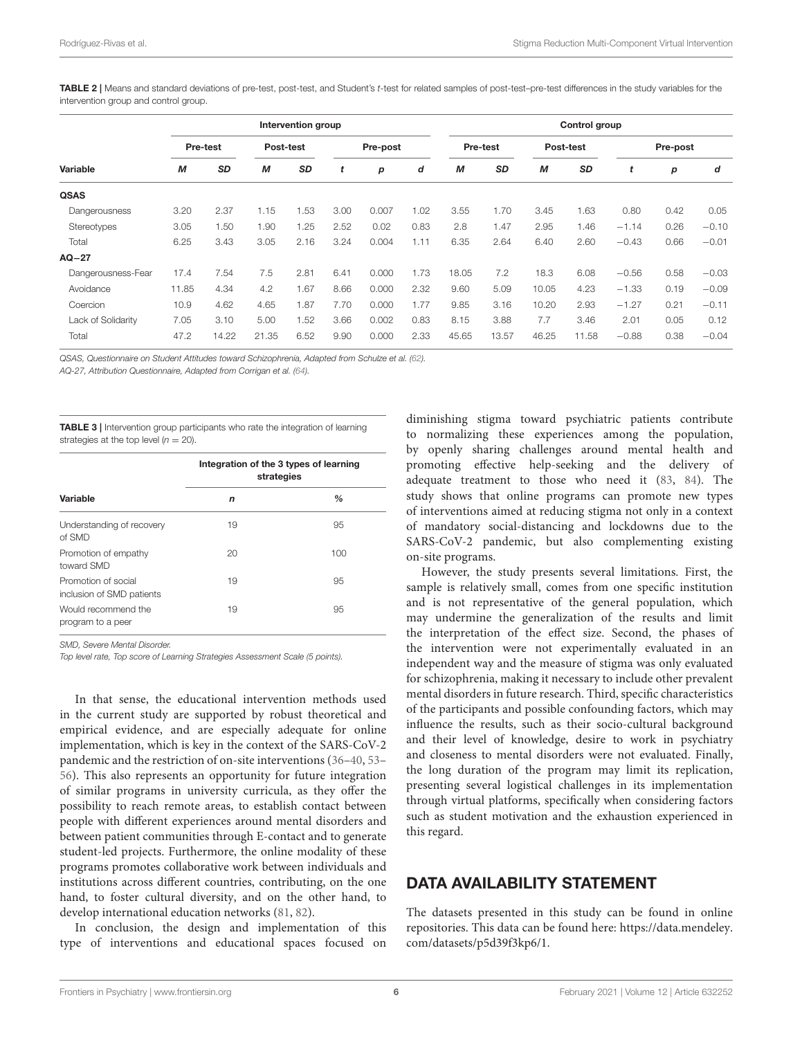<span id="page-5-0"></span>TABLE 2 | Means and standard deviations of pre-test, post-test, and Student's t-test for related samples of post-test–pre-test differences in the study variables for the intervention group and control group.

|                    | Intervention group |           |           |           |          |       | Control group |       |           |       |           |         |      |         |
|--------------------|--------------------|-----------|-----------|-----------|----------|-------|---------------|-------|-----------|-------|-----------|---------|------|---------|
| Variable           | Pre-test           |           | Post-test |           | Pre-post |       | Pre-test      |       | Post-test |       | Pre-post  |         |      |         |
|                    | M                  | <b>SD</b> | М         | <b>SD</b> | t        | р     | d             | M     | <b>SD</b> | M     | <b>SD</b> | t       | p    | d       |
| <b>QSAS</b>        |                    |           |           |           |          |       |               |       |           |       |           |         |      |         |
| Dangerousness      | 3.20               | 2.37      | 1.15      | 1.53      | 3.00     | 0.007 | 1.02          | 3.55  | 1.70      | 3.45  | 1.63      | 0.80    | 0.42 | 0.05    |
| <b>Stereotypes</b> | 3.05               | 1.50      | 1.90      | 1.25      | 2.52     | 0.02  | 0.83          | 2.8   | 1.47      | 2.95  | 1.46      | $-1.14$ | 0.26 | $-0.10$ |
| Total              | 6.25               | 3.43      | 3.05      | 2.16      | 3.24     | 0.004 | 1.11          | 6.35  | 2.64      | 6.40  | 2.60      | $-0.43$ | 0.66 | $-0.01$ |
| $AO-27$            |                    |           |           |           |          |       |               |       |           |       |           |         |      |         |
| Dangerousness-Fear | 17.4               | 7.54      | 7.5       | 2.81      | 6.41     | 0.000 | 1.73          | 18.05 | 7.2       | 18.3  | 6.08      | $-0.56$ | 0.58 | $-0.03$ |
| Avoidance          | 11.85              | 4.34      | 4.2       | 1.67      | 8.66     | 0.000 | 2.32          | 9.60  | 5.09      | 10.05 | 4.23      | $-1.33$ | 0.19 | $-0.09$ |
| Coercion           | 10.9               | 4.62      | 4.65      | 1.87      | 7.70     | 0.000 | 1.77          | 9.85  | 3.16      | 10.20 | 2.93      | $-1.27$ | 0.21 | $-0.11$ |
| Lack of Solidarity | 7.05               | 3.10      | 5.00      | 1.52      | 3.66     | 0.002 | 0.83          | 8.15  | 3.88      | 7.7   | 3.46      | 2.01    | 0.05 | 0.12    |
| Total              | 47.2               | 14.22     | 21.35     | 6.52      | 9.90     | 0.000 | 2.33          | 45.65 | 13.57     | 46.25 | 11.58     | $-0.88$ | 0.38 | $-0.04$ |

QSAS, Questionnaire on Student Attitudes toward Schizophrenia, Adapted from Schulze et al. [\(62\)](#page-7-33).

AQ-27, Attribution Questionnaire, Adapted from Corrigan et al. [\(64\)](#page-7-35).

<span id="page-5-1"></span>TABLE 3 | Intervention group participants who rate the integration of learning strategies at the top level  $(n = 20)$ .

|                                                  | Integration of the 3 types of learning<br>strategies |               |  |  |  |
|--------------------------------------------------|------------------------------------------------------|---------------|--|--|--|
| Variable                                         | n                                                    | $\frac{0}{0}$ |  |  |  |
| Understanding of recovery<br>of SMD              | 19                                                   | 95            |  |  |  |
| Promotion of empathy<br>toward SMD               | 20                                                   | 100           |  |  |  |
| Promotion of social<br>inclusion of SMD patients | 19                                                   | 95            |  |  |  |
| Would recommend the<br>program to a peer         | 19                                                   | 95            |  |  |  |

SMD, Severe Mental Disorder.

Top level rate, Top score of Learning Strategies Assessment Scale (5 points).

In that sense, the educational intervention methods used in the current study are supported by robust theoretical and empirical evidence, and are especially adequate for online implementation, which is key in the context of the SARS-CoV-2 pandemic and the restriction of on-site interventions [\(36](#page-7-8)[–40,](#page-7-12) [53–](#page-7-24) [56\)](#page-7-27). This also represents an opportunity for future integration of similar programs in university curricula, as they offer the possibility to reach remote areas, to establish contact between people with different experiences around mental disorders and between patient communities through E-contact and to generate student-led projects. Furthermore, the online modality of these programs promotes collaborative work between individuals and institutions across different countries, contributing, on the one hand, to foster cultural diversity, and on the other hand, to develop international education networks [\(81,](#page-8-11) [82\)](#page-8-12).

In conclusion, the design and implementation of this type of interventions and educational spaces focused on

diminishing stigma toward psychiatric patients contribute to normalizing these experiences among the population, by openly sharing challenges around mental health and promoting effective help-seeking and the delivery of adequate treatment to those who need it [\(83,](#page-8-13) [84\)](#page-8-14). The study shows that online programs can promote new types of interventions aimed at reducing stigma not only in a context of mandatory social-distancing and lockdowns due to the SARS-CoV-2 pandemic, but also complementing existing on-site programs.

However, the study presents several limitations. First, the sample is relatively small, comes from one specific institution and is not representative of the general population, which may undermine the generalization of the results and limit the interpretation of the effect size. Second, the phases of the intervention were not experimentally evaluated in an independent way and the measure of stigma was only evaluated for schizophrenia, making it necessary to include other prevalent mental disorders in future research. Third, specific characteristics of the participants and possible confounding factors, which may influence the results, such as their socio-cultural background and their level of knowledge, desire to work in psychiatry and closeness to mental disorders were not evaluated. Finally, the long duration of the program may limit its replication, presenting several logistical challenges in its implementation through virtual platforms, specifically when considering factors such as student motivation and the exhaustion experienced in this regard.

## DATA AVAILABILITY STATEMENT

The datasets presented in this study can be found in online repositories. This data can be found here: [https://data.mendeley.](https://data.mendeley.com/datasets/p5d39f3kp6/1) [com/datasets/p5d39f3kp6/1.](https://data.mendeley.com/datasets/p5d39f3kp6/1)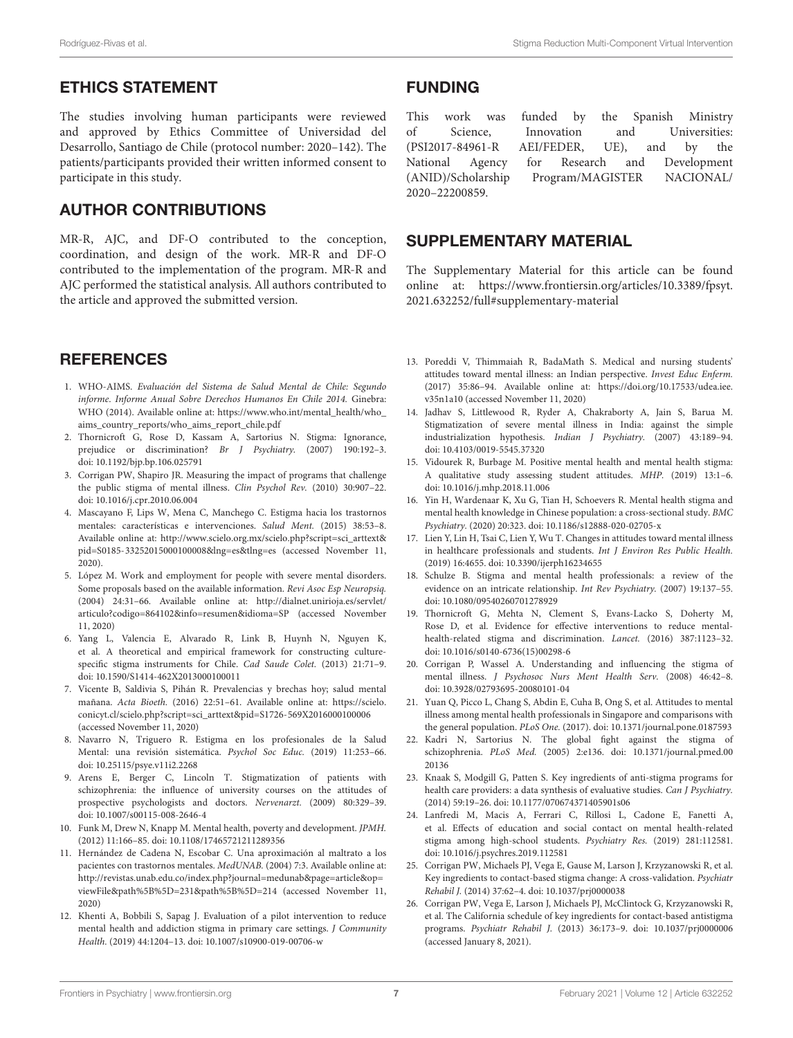## ETHICS STATEMENT

The studies involving human participants were reviewed and approved by Ethics Committee of Universidad del Desarrollo, Santiago de Chile (protocol number: 2020–142). The patients/participants provided their written informed consent to participate in this study.

## AUTHOR CONTRIBUTIONS

MR-R, AJC, and DF-O contributed to the conception, coordination, and design of the work. MR-R and DF-O contributed to the implementation of the program. MR-R and AJC performed the statistical analysis. All authors contributed to the article and approved the submitted version.

## **REFERENCES**

- <span id="page-6-0"></span>1. WHO-AIMS. Evaluación del Sistema de Salud Mental de Chile: Segundo informe. Informe Anual Sobre Derechos Humanos En Chile 2014. Ginebra: WHO (2014). Available online at: https://www.who.int/mental\_health/who [aims\\_country\\_reports/who\\_aims\\_report\\_chile.pdf](https://www.who.int/mental_health/who_aims_country_reports/who_aims_report_chile.pdf)
- <span id="page-6-1"></span>2. Thornicroft G, Rose D, Kassam A, Sartorius N. Stigma: Ignorance, prejudice or discrimination? Br J Psychiatry. (2007) 190:192–3. doi: [10.1192/bjp.bp.106.025791](https://doi.org/10.1192/bjp.bp.106.025791)
- <span id="page-6-2"></span>3. Corrigan PW, Shapiro JR. Measuring the impact of programs that challenge the public stigma of mental illness. Clin Psychol Rev. (2010) 30:907–22. doi: [10.1016/j.cpr.2010.06.004](https://doi.org/10.1016/j.cpr.2010.06.004)
- <span id="page-6-3"></span>4. Mascayano F, Lips W, Mena C, Manchego C. Estigma hacia los trastornos mentales: características e intervenciones. Salud Ment. (2015) 38:53–8. Available online at: [http://www.scielo.org.mx/scielo.php?script=sci\\_arttext&](http://www.scielo.org.mx/scielo.php?script=sci_arttext&pid=S0185-33252015000100008&lng=es&tlng=es) [pid=S0185-33252015000100008&lng=es&tlng=es](http://www.scielo.org.mx/scielo.php?script=sci_arttext&pid=S0185-33252015000100008&lng=es&tlng=es) (accessed November 11, 2020).
- <span id="page-6-4"></span>5. López M. Work and employment for people with severe mental disorders. Some proposals based on the available information. Revi Asoc Esp Neuropsiq. (2004) 24:31–66. Available online at: [http://dialnet.unirioja.es/servlet/](http://dialnet.unirioja.es/servlet/articulo?codigo=864102&info=resumen&idioma=SP) [articulo?codigo=864102&info=resumen&idioma=SP](http://dialnet.unirioja.es/servlet/articulo?codigo=864102&info=resumen&idioma=SP) (accessed November 11, 2020)
- <span id="page-6-5"></span>6. Yang L, Valencia E, Alvarado R, Link B, Huynh N, Nguyen K, et al. A theoretical and empirical framework for constructing culturespecific stigma instruments for Chile. Cad Saude Colet. (2013) 21:71–9. doi: [10.1590/S1414-462X2013000100011](https://doi.org/10.1590/S1414-462X2013000100011)
- <span id="page-6-6"></span>7. Vicente B, Saldivia S, Pihán R. Prevalencias y brechas hoy; salud mental mañana. Acta Bioeth. (2016) 22:51–61. Available online at: [https://scielo.](https://scielo.conicyt.cl/scielo.php?script=sci_arttext&pid=S1726-569X2016000100006) [conicyt.cl/scielo.php?script=sci\\_arttext&pid=S1726-569X2016000100006](https://scielo.conicyt.cl/scielo.php?script=sci_arttext&pid=S1726-569X2016000100006) (accessed November 11, 2020)
- <span id="page-6-7"></span>8. Navarro N, Triguero R. Estigma en los profesionales de la Salud Mental: una revisión sistemática. Psychol Soc Educ. (2019) 11:253–66. doi: [10.25115/psye.v11i2.2268](https://doi.org/10.25115/psye.v11i2.2268)
- <span id="page-6-8"></span>9. Arens E, Berger C, Lincoln T. Stigmatization of patients with schizophrenia: the influence of university courses on the attitudes of prospective psychologists and doctors. Nervenarzt. (2009) 80:329–39. doi: [10.1007/s00115-008-2646-4](https://doi.org/10.1007/s00115-008-2646-4)
- <span id="page-6-9"></span>10. Funk M, Drew N, Knapp M. Mental health, poverty and development. JPMH. (2012) 11:166–85. doi: [10.1108/17465721211289356](https://doi.org/10.1108/17465721211289356)
- <span id="page-6-10"></span>11. Hernández de Cadena N, Escobar C. Una aproximación al maltrato a los pacientes con trastornos mentales. MedUNAB. (2004) 7:3. Available online at: [http://revistas.unab.edu.co/index.php?journal=medunab&page=article&op=](http://revistas.unab.edu.co/index.php?journal=medunab&page=article&op=viewFile&path%5B%5D=231&path%5B%5D=214) [viewFile&path%5B%5D=231&path%5B%5D=214](http://revistas.unab.edu.co/index.php?journal=medunab&page=article&op=viewFile&path%5B%5D=231&path%5B%5D=214) (accessed November 11, 2020)
- 12. Khenti A, Bobbili S, Sapag J. Evaluation of a pilot intervention to reduce mental health and addiction stigma in primary care settings. J Community Health. (2019) 44:1204–13. doi: [10.1007/s10900-019-00706-w](https://doi.org/10.1007/s10900-019-00706-w)

#### FUNDING

 $(ANID)/Scholarship Program/MAGISTER)$ 2020–22200859.

This work was funded by the Spanish Ministry of Science, Innovation and Universities:<br>(PSI2017-84961-R AFI/FFDER UF) and by the (PSI2017-84961-R AEI/FEDER, UE), and by the National Agency for Research and Development<br>(ANID)/Scholarship Program/MAGISTER NACIONAL/

## SUPPLEMENTARY MATERIAL

<span id="page-6-22"></span>The Supplementary Material for this article can be found [online at: https://www.frontiersin.org/articles/10.3389/fpsyt.](https://www.frontiersin.org/articles/10.3389/fpsyt.2021.632252/full#supplementary-material) 2021.632252/full#supplementary-material

- <span id="page-6-11"></span>13. Poreddi V, Thimmaiah R, BadaMath S. Medical and nursing students' attitudes toward mental illness: an Indian perspective. Invest Educ Enferm. (2017) 35:86–94. Available online at: [https://doi.org/10.17533/udea.iee.](https://doi.org/10.17533/udea.iee.v35n1a10) [v35n1a10](https://doi.org/10.17533/udea.iee.v35n1a10) (accessed November 11, 2020)
- <span id="page-6-12"></span>14. Jadhav S, Littlewood R, Ryder A, Chakraborty A, Jain S, Barua M. Stigmatization of severe mental illness in India: against the simple industrialization hypothesis. Indian J Psychiatry. (2007) 43:189–94. doi: [10.4103/0019-5545.37320](https://doi.org/10.4103/0019-5545.37320)
- 15. Vidourek R, Burbage M. Positive mental health and mental health stigma: A qualitative study assessing student attitudes. MHP. (2019) 13:1–6. doi: [10.1016/j.mhp.2018.11.006](https://doi.org/10.1016/j.mhp.2018.11.006)
- <span id="page-6-13"></span>16. Yin H, Wardenaar K, Xu G, Tian H, Schoevers R. Mental health stigma and mental health knowledge in Chinese population: a cross-sectional study. BMC Psychiatry. (2020) 20:323. doi: [10.1186/s12888-020-02705-x](https://doi.org/10.1186/s12888-020-02705-x)
- <span id="page-6-14"></span>17. Lien Y, Lin H, Tsai C, Lien Y, Wu T. Changes in attitudes toward mental illness in healthcare professionals and students. Int J Environ Res Public Health. (2019) 16:4655. doi: [10.3390/ijerph16234655](https://doi.org/10.3390/ijerph16234655)
- <span id="page-6-15"></span>18. Schulze B. Stigma and mental health professionals: a review of the evidence on an intricate relationship. Int Rev Psychiatry. (2007) 19:137–55. doi: [10.1080/09540260701278929](https://doi.org/10.1080/09540260701278929)
- <span id="page-6-16"></span>19. Thornicroft G, Mehta N, Clement S, Evans-Lacko S, Doherty M, Rose D, et al. Evidence for effective interventions to reduce mentalhealth-related stigma and discrimination. Lancet. (2016) 387:1123–32. doi: [10.1016/s0140-6736\(15\)00298-6](https://doi.org/10.1016/s0140-6736(15)00298-6)
- <span id="page-6-17"></span>20. Corrigan P, Wassel A. Understanding and influencing the stigma of mental illness. J Psychosoc Nurs Ment Health Serv. (2008) 46:42–8. doi: [10.3928/02793695-20080101-04](https://doi.org/10.3928/02793695-20080101-04)
- <span id="page-6-18"></span>21. Yuan Q, Picco L, Chang S, Abdin E, Cuha B, Ong S, et al. Attitudes to mental illness among mental health professionals in Singapore and comparisons with the general population. PLoS One. (2017). doi: [10.1371/journal.pone.0187593](https://doi.org/10.1371/journal.pone.0187593)
- <span id="page-6-19"></span>22. Kadri N, Sartorius N. The global fight against the stigma of schizophrenia. PLoS Med. [\(2005\) 2:e136. doi: 10.1371/journal.pmed.00](https://doi.org/10.1371/journal.pmed.0020136) 20136
- 23. Knaak S, Modgill G, Patten S. Key ingredients of anti-stigma programs for health care providers: a data synthesis of evaluative studies. Can J Psychiatry. (2014) 59:19–26. doi: [10.1177/070674371405901s06](https://doi.org/10.1177/070674371405901s06)
- <span id="page-6-20"></span>24. Lanfredi M, Macis A, Ferrari C, Rillosi L, Cadone E, Fanetti A, et al. Effects of education and social contact on mental health-related stigma among high-school students. Psychiatry Res. (2019) 281:112581. doi: [10.1016/j.psychres.2019.112581](https://doi.org/10.1016/j.psychres.2019.112581)
- <span id="page-6-21"></span>25. Corrigan PW, Michaels PJ, Vega E, Gause M, Larson J, Krzyzanowski R, et al. Key ingredients to contact-based stigma change: A cross-validation. Psychiatr Rehabil J. (2014) 37:62–4. doi: [10.1037/prj0000038](https://doi.org/10.1037/prj0000038)
- 26. Corrigan PW, Vega E, Larson J, Michaels PJ, McClintock G, Krzyzanowski R, et al. The California schedule of key ingredients for contact-based antistigma programs. Psychiatr Rehabil J. (2013) 36:173–9. doi: [10.1037/prj0000006](https://doi.org/10.1037/prj0000006) (accessed January 8, 2021).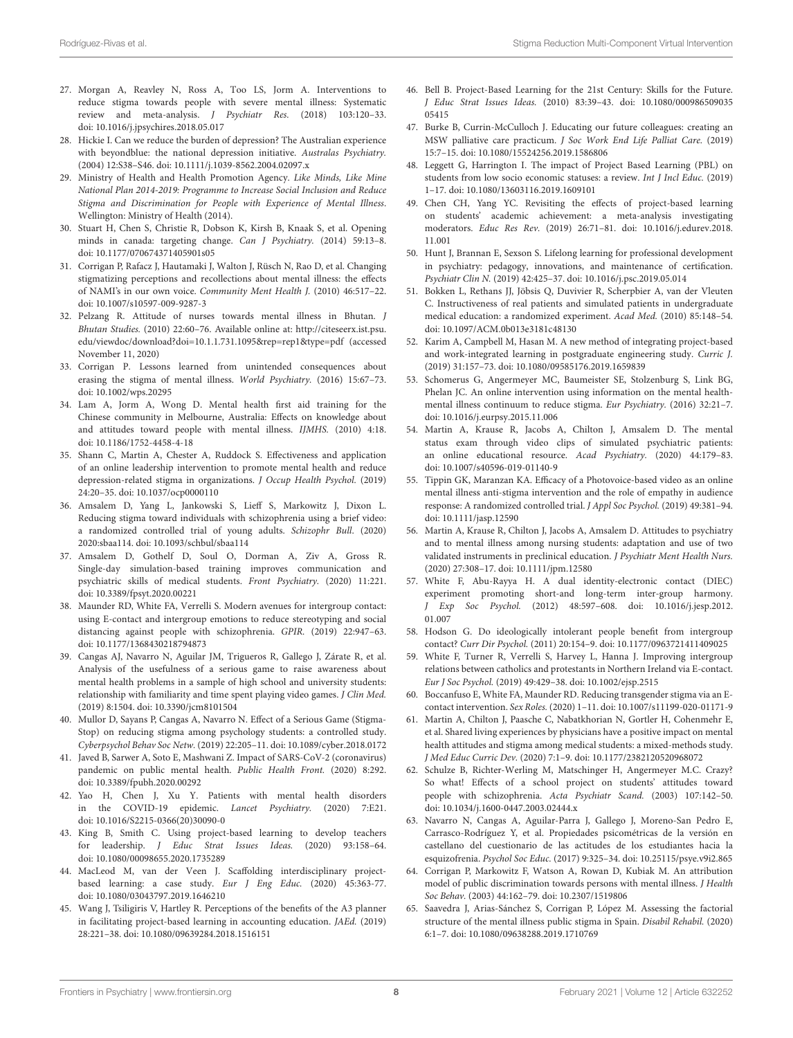- <span id="page-7-0"></span>27. Morgan A, Reavley N, Ross A, Too LS, Jorm A. Interventions to reduce stigma towards people with severe mental illness: Systematic review and meta-analysis. J Psychiatr Res. (2018) 103:120–33. doi: [10.1016/j.jpsychires.2018.05.017](https://doi.org/10.1016/j.jpsychires.2018.05.017)
- <span id="page-7-1"></span>28. Hickie I. Can we reduce the burden of depression? The Australian experience with beyondblue: the national depression initiative. Australas Psychiatry. (2004) 12:S38–S46. doi: [10.1111/j.1039-8562.2004.02097.x](https://doi.org/10.1111/j.1039-8562.2004.02097.x)
- 29. Ministry of Health and Health Promotion Agency. Like Minds, Like Mine National Plan 2014-2019: Programme to Increase Social Inclusion and Reduce Stigma and Discrimination for People with Experience of Mental Illness. Wellington: Ministry of Health (2014).
- <span id="page-7-2"></span>Stuart H, Chen S, Christie R, Dobson K, Kirsh B, Knaak S, et al. Opening minds in canada: targeting change. Can J Psychiatry. (2014) 59:13–8. doi: [10.1177/070674371405901s05](https://doi.org/10.1177/070674371405901s05)
- <span id="page-7-3"></span>31. Corrigan P, Rafacz J, Hautamaki J, Walton J, Rüsch N, Rao D, et al. Changing stigmatizing perceptions and recollections about mental illness: the effects of NAMI's in our own voice. Community Ment Health J. (2010) 46:517–22. doi: [10.1007/s10597-009-9287-3](https://doi.org/10.1007/s10597-009-9287-3)
- <span id="page-7-4"></span>32. Pelzang R. Attitude of nurses towards mental illness in Bhutan. J Bhutan Studies. (2010) 22:60–76. Available online at: [http://citeseerx.ist.psu.](http://citeseerx.ist.psu.edu/viewdoc/download?doi=10.1.1.731.1095&rep=rep1&type=pdf) [edu/viewdoc/download?doi=10.1.1.731.1095&rep=rep1&type=pdf](http://citeseerx.ist.psu.edu/viewdoc/download?doi=10.1.1.731.1095&rep=rep1&type=pdf) (accessed November 11, 2020)
- <span id="page-7-5"></span>33. Corrigan P. Lessons learned from unintended consequences about erasing the stigma of mental illness. World Psychiatry. (2016) 15:67–73. doi: [10.1002/wps.20295](https://doi.org/10.1002/wps.20295)
- <span id="page-7-6"></span>34. Lam A, Jorm A, Wong D. Mental health first aid training for the Chinese community in Melbourne, Australia: Effects on knowledge about and attitudes toward people with mental illness. IJMHS. (2010) 4:18. doi: [10.1186/1752-4458-4-18](https://doi.org/10.1186/1752-4458-4-18)
- <span id="page-7-7"></span>35. Shann C, Martin A, Chester A, Ruddock S. Effectiveness and application of an online leadership intervention to promote mental health and reduce depression-related stigma in organizations. J Occup Health Psychol. (2019) 24:20–35. doi: [10.1037/ocp0000110](https://doi.org/10.1037/ocp0000110)
- <span id="page-7-8"></span>36. Amsalem D, Yang L, Jankowski S, Lieff S, Markowitz J, Dixon L. Reducing stigma toward individuals with schizophrenia using a brief video: a randomized controlled trial of young adults. Schizophr Bull. (2020) 2020:sbaa114. doi: [10.1093/schbul/sbaa114](https://doi.org/10.1093/schbul/sbaa114)
- <span id="page-7-9"></span>37. Amsalem D, Gothelf D, Soul O, Dorman A, Ziv A, Gross R. Single-day simulation-based training improves communication and psychiatric skills of medical students. Front Psychiatry. (2020) 11:221. doi: [10.3389/fpsyt.2020.00221](https://doi.org/10.3389/fpsyt.2020.00221)
- <span id="page-7-10"></span>38. Maunder RD, White FA, Verrelli S. Modern avenues for intergroup contact: using E-contact and intergroup emotions to reduce stereotyping and social distancing against people with schizophrenia. GPIR. (2019) 22:947–63. doi: [10.1177/1368430218794873](https://doi.org/10.1177/1368430218794873)
- <span id="page-7-11"></span>39. Cangas AJ, Navarro N, Aguilar JM, Trigueros R, Gallego J, Zárate R, et al. Analysis of the usefulness of a serious game to raise awareness about mental health problems in a sample of high school and university students: relationship with familiarity and time spent playing video games. J Clin Med. (2019) 8:1504. doi: [10.3390/jcm8101504](https://doi.org/10.3390/jcm8101504)
- <span id="page-7-12"></span>40. Mullor D, Sayans P, Cangas A, Navarro N. Effect of a Serious Game (Stigma-Stop) on reducing stigma among psychology students: a controlled study. Cyberpsychol Behav Soc Netw. (2019) 22:205–11. doi: [10.1089/cyber.2018.0172](https://doi.org/10.1089/cyber.2018.0172)
- <span id="page-7-13"></span>41. Javed B, Sarwer A, Soto E, Mashwani Z. Impact of SARS-CoV-2 (coronavirus) pandemic on public mental health. Public Health Front. (2020) 8:292. doi: [10.3389/fpubh.2020.00292](https://doi.org/10.3389/fpubh.2020.00292)
- <span id="page-7-14"></span>42. Yao H, Chen J, Xu Y. Patients with mental health disorders in the COVID-19 epidemic. Lancet Psychiatry. (2020) 7:E21. doi: [10.1016/S2215-0366\(20\)30090-0](https://doi.org/10.1016/S2215-0366(20)30090-0)
- <span id="page-7-15"></span>43. King B, Smith C. Using project-based learning to develop teachers for leadership. J Educ Strat Issues Ideas. (2020) 93:158–64. doi: [10.1080/00098655.2020.1735289](https://doi.org/10.1080/00098655.2020.1735289)
- <span id="page-7-16"></span>44. MacLeod M, van der Veen J. Scaffolding interdisciplinary projectbased learning: a case study. Eur J Eng Educ. (2020) 45:363-77. doi: [10.1080/03043797.2019.1646210](https://doi.org/10.1080/03043797.2019.1646210)
- <span id="page-7-17"></span>45. Wang J, Tsiligiris V, Hartley R. Perceptions of the benefits of the A3 planner in facilitating project-based learning in accounting education. JAEd. (2019) 28:221–38. doi: [10.1080/09639284.2018.1516151](https://doi.org/10.1080/09639284.2018.1516151)
- <span id="page-7-18"></span>46. Bell B. Project-Based Learning for the 21st Century: Skills for the Future. J Educ Strat Issues Ideas. [\(2010\) 83:39–43. doi: 10.1080/000986509035](https://doi.org/10.1080/00098650903505415) 05415
- <span id="page-7-19"></span>47. Burke B, Currin-McCulloch J. Educating our future colleagues: creating an MSW palliative care practicum. J Soc Work End Life Palliat Care. (2019) 15:7–15. doi: [10.1080/15524256.2019.1586806](https://doi.org/10.1080/15524256.2019.1586806)
- <span id="page-7-20"></span>48. Leggett G, Harrington I. The impact of Project Based Learning (PBL) on students from low socio economic statuses: a review. Int J Incl Educ. (2019) 1–17. doi: [10.1080/13603116.2019.1609101](https://doi.org/10.1080/13603116.2019.1609101)
- 49. Chen CH, Yang YC. Revisiting the effects of project-based learning on students' academic achievement: a meta-analysis investigating moderators. Educ Res Rev. [\(2019\) 26:71–81. doi: 10.1016/j.edurev.2018.](https://doi.org/10.1016/j.edurev.2018.11.001) 11.001
- <span id="page-7-21"></span>50. Hunt J, Brannan E, Sexson S. Lifelong learning for professional development in psychiatry: pedagogy, innovations, and maintenance of certification. Psychiatr Clin N. (2019) 42:425–37. doi: [10.1016/j.psc.2019.05.014](https://doi.org/10.1016/j.psc.2019.05.014)
- <span id="page-7-22"></span>51. Bokken L, Rethans JJ, Jöbsis Q, Duvivier R, Scherpbier A, van der Vleuten C. Instructiveness of real patients and simulated patients in undergraduate medical education: a randomized experiment. Acad Med. (2010) 85:148–54. doi: [10.1097/ACM.0b013e3181c48130](https://doi.org/10.1097/ACM.0b013e3181c48130)
- <span id="page-7-23"></span>52. Karim A, Campbell M, Hasan M. A new method of integrating project-based and work-integrated learning in postgraduate engineering study. Curric J. (2019) 31:157–73. doi: [10.1080/09585176.2019.1659839](https://doi.org/10.1080/09585176.2019.1659839)
- <span id="page-7-24"></span>53. Schomerus G, Angermeyer MC, Baumeister SE, Stolzenburg S, Link BG, Phelan JC. An online intervention using information on the mental healthmental illness continuum to reduce stigma. Eur Psychiatry. (2016) 32:21–7. doi: [10.1016/j.eurpsy.2015.11.006](https://doi.org/10.1016/j.eurpsy.2015.11.006)
- <span id="page-7-25"></span>54. Martin A, Krause R, Jacobs A, Chilton J, Amsalem D. The mental status exam through video clips of simulated psychiatric patients: an online educational resource. Acad Psychiatry. (2020) 44:179–83. doi: [10.1007/s40596-019-01140-9](https://doi.org/10.1007/s40596-019-01140-9)
- <span id="page-7-26"></span>55. Tippin GK, Maranzan KA. Efficacy of a Photovoice-based video as an online mental illness anti-stigma intervention and the role of empathy in audience response: A randomized controlled trial. J Appl Soc Psychol. (2019) 49:381–94. doi: [10.1111/jasp.12590](https://doi.org/10.1111/jasp.12590)
- <span id="page-7-27"></span>56. Martin A, Krause R, Chilton J, Jacobs A, Amsalem D. Attitudes to psychiatry and to mental illness among nursing students: adaptation and use of two validated instruments in preclinical education. J Psychiatr Ment Health Nurs. (2020) 27:308–17. doi: [10.1111/jpm.12580](https://doi.org/10.1111/jpm.12580)
- <span id="page-7-28"></span>57. White F, Abu-Rayya H. A dual identity-electronic contact (DIEC) experiment promoting short-and long-term inter-group harmony. J Exp Soc Psychol. [\(2012\) 48:597–608. doi: 10.1016/j.jesp.2012.](https://doi.org/10.1016/j.jesp.2012.01.007) 01.007
- <span id="page-7-29"></span>58. Hodson G. Do ideologically intolerant people benefit from intergroup contact? Curr Dir Psychol. (2011) 20:154–9. doi: [10.1177/0963721411409025](https://doi.org/10.1177/0963721411409025)
- <span id="page-7-30"></span>59. White F, Turner R, Verrelli S, Harvey L, Hanna J. Improving intergroup relations between catholics and protestants in Northern Ireland via E-contact. Eur J Soc Psychol. (2019) 49:429–38. doi: [10.1002/ejsp.2515](https://doi.org/10.1002/ejsp.2515)
- <span id="page-7-31"></span>60. Boccanfuso E, White FA, Maunder RD. Reducing transgender stigma via an Econtact intervention. Sex Roles. (2020) 1–11. doi: [10.1007/s11199-020-01171-9](https://doi.org/10.1007/s11199-020-01171-9)
- <span id="page-7-32"></span>61. Martin A, Chilton J, Paasche C, Nabatkhorian N, Gortler H, Cohenmehr E, et al. Shared living experiences by physicians have a positive impact on mental health attitudes and stigma among medical students: a mixed-methods study. J Med Educ Curric Dev. (2020) 7:1–9. doi: [10.1177/2382120520968072](https://doi.org/10.1177/2382120520968072)
- <span id="page-7-33"></span>62. Schulze B, Richter-Werling M, Matschinger H, Angermeyer M.C. Crazy? So what! Effects of a school project on students' attitudes toward people with schizophrenia. Acta Psychiatr Scand. (2003) 107:142–50. doi: [10.1034/j.1600-0447.2003.02444.x](https://doi.org/10.1034/j.1600-0447.2003.02444.x)
- <span id="page-7-34"></span>63. Navarro N, Cangas A, Aguilar-Parra J, Gallego J, Moreno-San Pedro E, Carrasco-Rodríguez Y, et al. Propiedades psicométricas de la versión en castellano del cuestionario de las actitudes de los estudiantes hacia la esquizofrenia. Psychol Soc Educ. (2017) 9:325–34. doi: [10.25115/psye.v9i2.865](https://doi.org/10.25115/psye.v9i2.865)
- <span id="page-7-35"></span>64. Corrigan P, Markowitz F, Watson A, Rowan D, Kubiak M. An attribution model of public discrimination towards persons with mental illness. J Health Soc Behav. (2003) 44:162–79. doi: [10.2307/1519806](https://doi.org/10.2307/1519806)
- <span id="page-7-36"></span>65. Saavedra J, Arias-Sánchez S, Corrigan P, López M. Assessing the factorial structure of the mental illness public stigma in Spain. Disabil Rehabil. (2020) 6:1–7. doi: [10.1080/09638288.2019.1710769](https://doi.org/10.1080/09638288.2019.1710769)